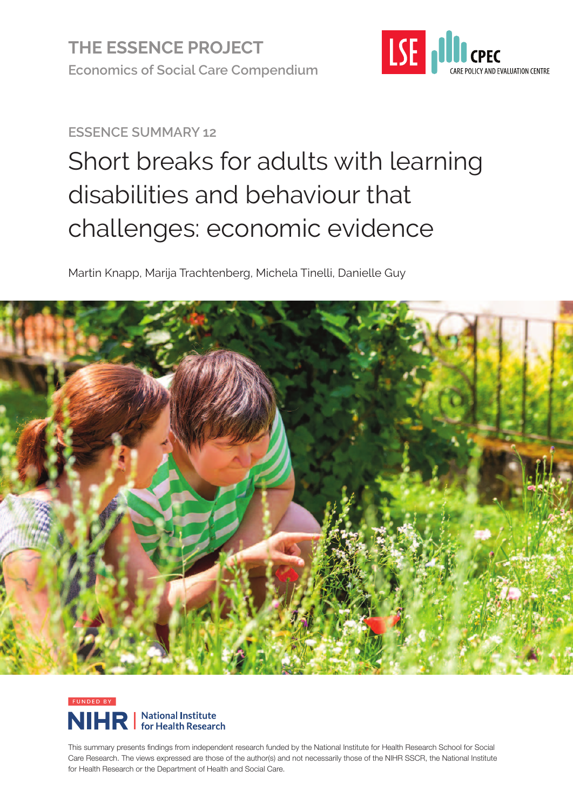

#### **ESSENCE SUMMARY 12**

# Short breaks for adults with learning disabilities and behaviour that challenges: economic evidence

Martin Knapp, Marija Trachtenberg, Michela Tinelli, Danielle Guy





This summary presents findings from independent research funded by the National Institute for Health Research School for Social Care Research. The views expressed are those of the author(s) and not necessarily those of the NIHR SSCR, the National Institute for Health Research or the Department of Health and Social Care.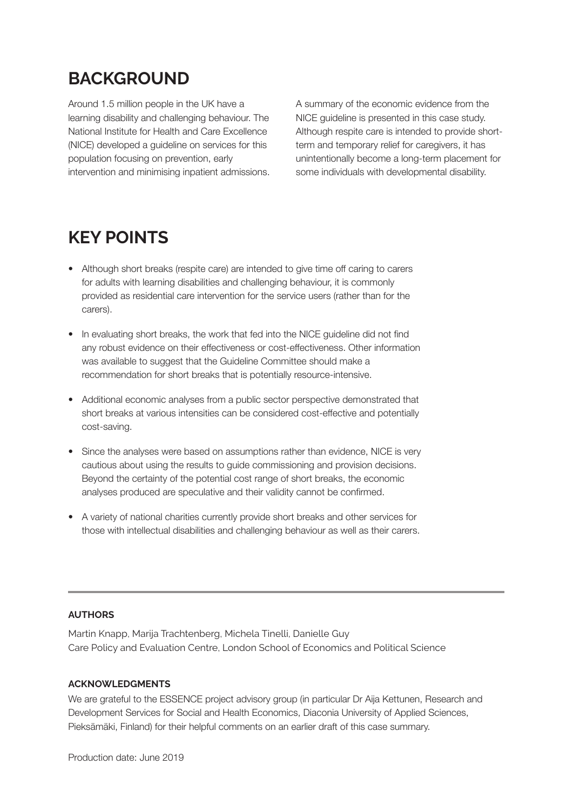#### **BACKGROUND**

Around 1.5 million people in the UK have a learning disability and challenging behaviour. The National Institute for Health and Care Excellence (NICE) developed a guideline on services for this population focusing on prevention, early intervention and minimising inpatient admissions. A summary of the economic evidence from the NICE guideline is presented in this case study. Although respite care is intended to provide shortterm and temporary relief for caregivers, it has unintentionally become a long-term placement for some individuals with developmental disability.

### **KEY POINTS**

- Although short breaks (respite care) are intended to give time off caring to carers for adults with learning disabilities and challenging behaviour, it is commonly provided as residential care intervention for the service users (rather than for the carers).
- In evaluating short breaks, the work that fed into the NICE guideline did not find any robust evidence on their effectiveness or cost-effectiveness. Other information was available to suggest that the Guideline Committee should make a recommendation for short breaks that is potentially resource-intensive.
- Additional economic analyses from a public sector perspective demonstrated that short breaks at various intensities can be considered cost-effective and potentially cost-saving.
- Since the analyses were based on assumptions rather than evidence, NICE is very cautious about using the results to guide commissioning and provision decisions. Beyond the certainty of the potential cost range of short breaks, the economic analyses produced are speculative and their validity cannot be confirmed.
- A variety of national charities currently provide short breaks and other services for those with intellectual disabilities and challenging behaviour as well as their carers.

#### **AUTHORS**

Martin Knapp, Marija Trachtenberg, Michela Tinelli, Danielle Guy Care Policy and Evaluation Centre, London School of Economics and Political Science

#### **ACKNOWLEDGMENTS**

We are grateful to the ESSENCE project advisory group (in particular Dr Aija Kettunen, Research and Development Services for Social and Health Economics, Diaconia University of Applied Sciences, Pieksämäki, Finland) for their helpful comments on an earlier draft of this case summary.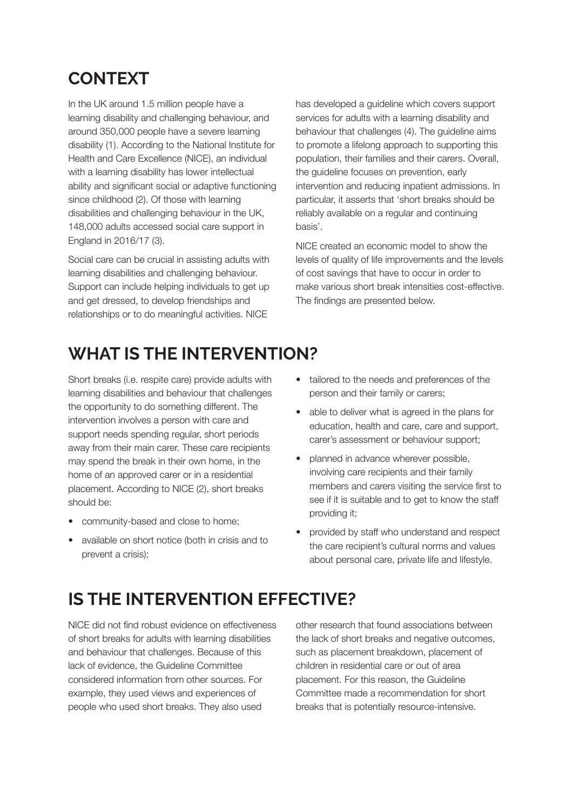### **CONTEXT**

In the UK around 1.5 million people have a learning disability and challenging behaviour, and around 350,000 people have a severe learning disability (1). According to the National Institute for Health and Care Excellence (NICE), an individual with a learning disability has lower intellectual ability and significant social or adaptive functioning since childhood (2). Of those with learning disabilities and challenging behaviour in the UK, 148,000 adults accessed social care support in England in 2016/17 (3).

Social care can be crucial in assisting adults with learning disabilities and challenging behaviour. Support can include helping individuals to get up and get dressed, to develop friendships and relationships or to do meaningful activities. NICE

has developed a guideline which covers support services for adults with a learning disability and behaviour that challenges (4). The guideline aims to promote a lifelong approach to supporting this population, their families and their carers. Overall, the guideline focuses on prevention, early intervention and reducing inpatient admissions. In particular, it asserts that 'short breaks should be reliably available on a regular and continuing basis'.

NICE created an economic model to show the levels of quality of life improvements and the levels of cost savings that have to occur in order to make various short break intensities cost-effective. The findings are presented below.

### **WHAT IS THE INTERVENTION?**

Short breaks (i.e. respite care) provide adults with learning disabilities and behaviour that challenges the opportunity to do something different. The intervention involves a person with care and support needs spending regular, short periods away from their main carer. These care recipients may spend the break in their own home, in the home of an approved carer or in a residential placement. According to NICE (2), short breaks should be:

- community-based and close to home;
- available on short notice (both in crisis and to prevent a crisis);
- tailored to the needs and preferences of the person and their family or carers;
- able to deliver what is agreed in the plans for education, health and care, care and support, carer's assessment or behaviour support;
- planned in advance wherever possible, involving care recipients and their family members and carers visiting the service first to see if it is suitable and to get to know the staff providing it;
- provided by staff who understand and respect the care recipient's cultural norms and values about personal care, private life and lifestyle.

### **IS THE INTERVENTION EFFECTIVE?**

NICE did not find robust evidence on effectiveness of short breaks for adults with learning disabilities and behaviour that challenges. Because of this lack of evidence, the Guideline Committee considered information from other sources. For example, they used views and experiences of people who used short breaks. They also used

other research that found associations between the lack of short breaks and negative outcomes, such as placement breakdown, placement of children in residential care or out of area placement. For this reason, the Guideline Committee made a recommendation for short breaks that is potentially resource-intensive.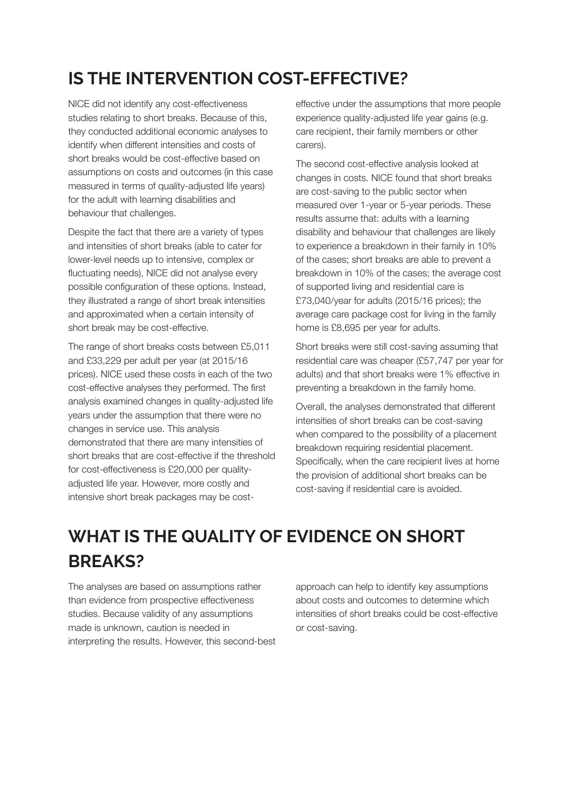# **IS THE INTERVENTION COST-EFFECTIVE?**

NICE did not identify any cost-effectiveness studies relating to short breaks. Because of this, they conducted additional economic analyses to identify when different intensities and costs of short breaks would be cost-effective based on assumptions on costs and outcomes (in this case measured in terms of quality-adjusted life years) for the adult with learning disabilities and behaviour that challenges.

Despite the fact that there are a variety of types and intensities of short breaks (able to cater for lower-level needs up to intensive, complex or fluctuating needs), NICE did not analyse every possible configuration of these options. Instead, they illustrated a range of short break intensities and approximated when a certain intensity of short break may be cost-effective.

The range of short breaks costs between £5,011 and £33,229 per adult per year (at 2015/16 prices). NICE used these costs in each of the two cost-effective analyses they performed. The first analysis examined changes in quality-adjusted life years under the assumption that there were no changes in service use. This analysis demonstrated that there are many intensities of short breaks that are cost-effective if the threshold for cost-effectiveness is £20,000 per qualityadjusted life year. However, more costly and intensive short break packages may be costeffective under the assumptions that more people experience quality-adjusted life year gains (e.g. care recipient, their family members or other carers).

The second cost-effective analysis looked at changes in costs. NICE found that short breaks are cost-saving to the public sector when measured over 1-year or 5-year periods. These results assume that: adults with a learning disability and behaviour that challenges are likely to experience a breakdown in their family in 10% of the cases; short breaks are able to prevent a breakdown in 10% of the cases; the average cost of supported living and residential care is £73,040/year for adults (2015/16 prices); the average care package cost for living in the family home is £8,695 per year for adults.

Short breaks were still cost-saving assuming that residential care was cheaper (£57,747 per year for adults) and that short breaks were 1% effective in preventing a breakdown in the family home.

Overall, the analyses demonstrated that different intensities of short breaks can be cost-saving when compared to the possibility of a placement breakdown requiring residential placement. Specifically, when the care recipient lives at home the provision of additional short breaks can be cost-saving if residential care is avoided.

# **WHAT IS THE QUALITY OF EVIDENCE ON SHORT BREAKS?**

The analyses are based on assumptions rather than evidence from prospective effectiveness studies. Because validity of any assumptions made is unknown, caution is needed in interpreting the results. However, this second-best

approach can help to identify key assumptions about costs and outcomes to determine which intensities of short breaks could be cost-effective or cost-saving.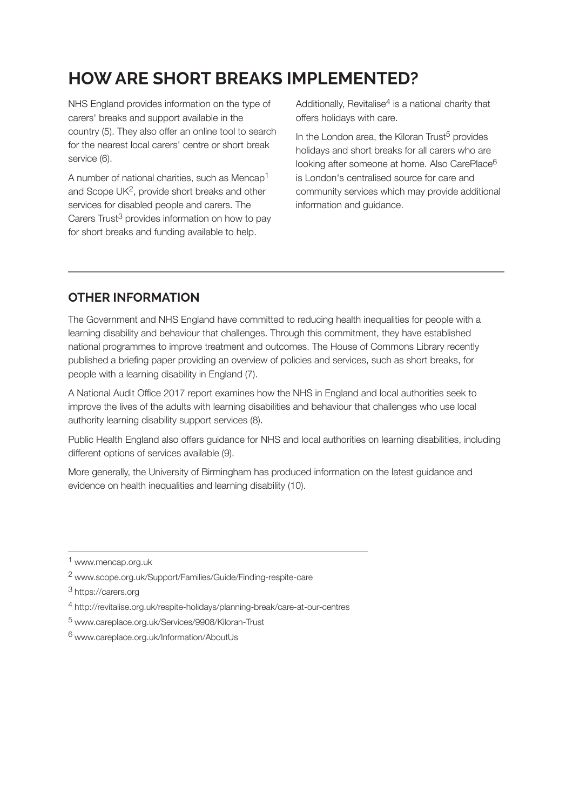### **HOWARE SHORT BREAKS IMPLEMENTED?**

NHS England provides information on the type of carers' breaks and support available in the country (5). They also offer an online tool to search for the nearest local carers' centre or short break service (6).

A number of national charities, such as Mencap1 and Scope UK<sup>2</sup>, provide short breaks and other services for disabled people and carers. The Carers Trust<sup>3</sup> provides information on how to pay for short breaks and funding available to help.

Additionally, Revitalise<sup>4</sup> is a national charity that offers holidays with care.

In the London area, the Kiloran Trust<sup>5</sup> provides holidays and short breaks for all carers who are looking after someone at home. Also CarePlace<sup>6</sup> is London's centralised source for care and community services which may provide additional information and guidance.

#### **OTHER INFORMATION**

The Government and NHS England have committed to reducing health inequalities for people with a learning disability and behaviour that challenges. Through this commitment, they have established national programmes to improve treatment and outcomes. The House of Commons Library recently published a briefing paper providing an overview of policies and services, such as short breaks, for people with a learning disability in England (7).

A National Audit Office 2017 report examines how the NHS in England and local authorities seek to improve the lives of the adults with learning disabilities and behaviour that challenges who use local authority learning disability support services (8).

Public Health England also offers guidance for NHS and local authorities on learning disabilities, including different options of services available (9).

More generally, the University of Birmingham has produced information on the latest guidance and evidence on health inequalities and learning disability (10).

[5](https://www.careplace.org.uk/Services/9908/Kiloran-Trust) www.careplace.org.uk/Services/9908/Kiloran-Trus[t](https://www.careplace.org.uk/Services/9908/Kiloran-Trust)

[<sup>1</sup>](https://www.mencap.org.uk) www.mencap.org.u[k](https://www.mencap.org.uk)

[<sup>2</sup>](https://www.scope.org.uk/Support/Families/Guide/Finding-respite-care) www.scope.org.uk/Support/Families/Guide/Finding-respite-car[e](https://www.scope.org.uk/Support/Families/Guide/Finding-respite-care)

<sup>3</sup> <https://carers.org>

<sup>4</sup> <http://revitalise.org.uk/respite-holidays/planning-break/care-at-our-centres>

[<sup>6</sup>](https://www.careplace.org.uk/Information/AboutU) www.careplace.org.uk/Information/About[Us](https://www.careplace.org.uk/Information/AboutU)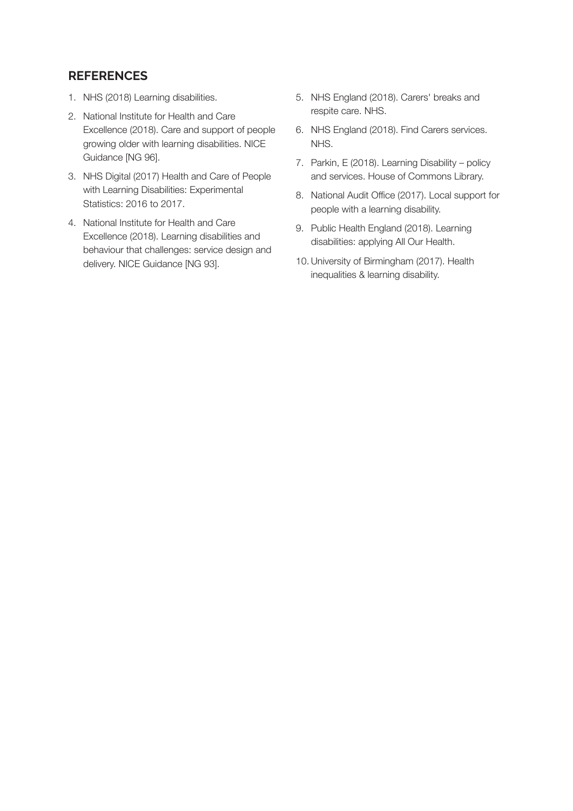#### **REFERENCES**

- 1. NHS (2018) Learning disabilities.
- 2. National Institute for Health and Care Excellence (2018). Care and support of people growing older with learning disabilities. NICE Guidance [NG 96].
- 3. NHS Digital (2017) Health and Care of People with Learning Disabilities: Experimental Statistics: 2016 to 2017.
- 4. National Institute for Health and Care Excellence (2018). Learning disabilities and behaviour that challenges: service design and delivery. NICE Guidance [NG 93].
- 5. NHS England (2018). Carers' breaks and respite care. NHS.
- 6. NHS England (2018). Find Carers services. NHS.
- 7. Parkin, E (2018). Learning Disability policy and services. House of Commons Library.
- 8. National Audit Office (2017). Local support for people with a learning disability.
- 9. Public Health England (2018). Learning disabilities: applying All Our Health.
- 10.University of Birmingham (2017). Health inequalities & learning disability.